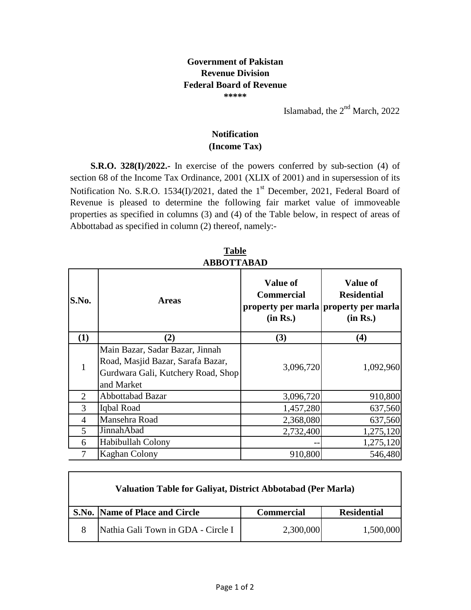## **Government of Pakistan Revenue Division Federal Board of Revenue \*\*\*\*\***

Islamabad, the  $2<sup>nd</sup>$  March, 2022

## **(Income Tax) Notification**

**S.R.O. 328(I)/2022.-** In exercise of the powers conferred by sub-section (4) of section 68 of the Income Tax Ordinance, 2001 (XLIX of 2001) and in supersession of its Notification No. S.R.O. 1534(I)/2021, dated the 1<sup>st</sup> December, 2021, Federal Board of Revenue is pleased to determine the following fair market value of immoveable properties as specified in columns (3) and (4) of the Table below, in respect of areas of Abbottabad as specified in column (2) thereof, namely:-

| S.No.          | <b>Areas</b>                                                                                                             | <b>Value of</b><br><b>Commercial</b><br>(in Rs.) | <b>Value of</b><br><b>Residential</b><br>property per marla property per marla<br>(in Rs.) |
|----------------|--------------------------------------------------------------------------------------------------------------------------|--------------------------------------------------|--------------------------------------------------------------------------------------------|
| (1)            | (2)                                                                                                                      | (3)                                              | (4)                                                                                        |
| $\mathbf{1}$   | Main Bazar, Sadar Bazar, Jinnah<br>Road, Masjid Bazar, Sarafa Bazar,<br>Gurdwara Gali, Kutchery Road, Shop<br>and Market | 3,096,720                                        | 1,092,960                                                                                  |
| 2              | Abbottabad Bazar                                                                                                         | 3,096,720                                        | 910,800                                                                                    |
| 3              | Iqbal Road                                                                                                               | 1,457,280                                        | 637,560                                                                                    |
| $\overline{4}$ | Mansehra Road                                                                                                            | 2,368,080                                        | 637,560                                                                                    |
| 5              | JinnahAbad                                                                                                               | 2,732,400                                        | 1,275,120                                                                                  |
| 6              | Habibullah Colony                                                                                                        |                                                  | 1,275,120                                                                                  |
| 7              | <b>Kaghan Colony</b>                                                                                                     | 910,800                                          | 546,480                                                                                    |

**Table ABBOTTABAD**

| <b>Valuation Table for Galiyat, District Abbotabad (Per Marla)</b> |                   |                    |
|--------------------------------------------------------------------|-------------------|--------------------|
| S.No. Name of Place and Circle                                     | <b>Commercial</b> | <b>Residential</b> |
| Nathia Gali Town in GDA - Circle I                                 | 2,300,000         | 1,500,000          |